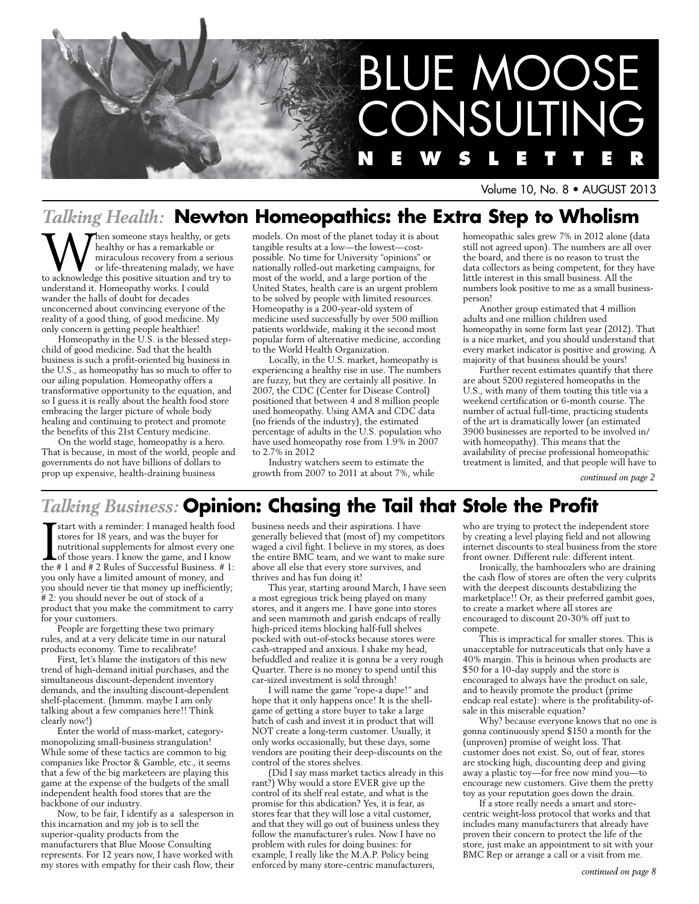

Volume 10, No. 8 • AUGUST 2013

# *Talking Health:* **Newton Homeopathics: the Extra Step to Wholism**

**W**hen someone stays healthy, or gets<br>
miraculous recovery from a serious<br>
or life-threatening malady, we have<br>
to acknowledge this positive situation and try to healthy or has a remarkable or miraculous recovery from a serious or life-threatening malady, we have understand it. Homeopathy works. I could wander the halls of doubt for decades unconcerned about convincing everyone of the reality of a good thing, of good medicine. My only concern is getting people healthier!

Homeopathy in the U.S. is the blessed stepchild of good medicine. Sad that the health business is such a profit-oriented big business in the U.S., as homeopathy has so much to offer to our ailing population. Homeopathy offers a transformative opportunity to the equation, and so I guess it is really about the health food store embracing the larger picture of whole body healing and continuing to protect and promote the benefits of this 21st Century medicine.

On the world stage, homeopathy is a hero. That is because, in most of the world, people and governments do not have billions of dollars to prop up expensive, health-draining business

models. On most of the planet today it is about tangible results at a low—the lowest—costpossible. No time for University "opinions" or nationally rolled-out marketing campaigns, for most of the world, and a large portion of the United States, health care is an urgent problem to be solved by people with limited resources. Homeopathy is a 200-year-old system of medicine used successfully by over 500 million patients worldwide, making it the second most popular form of alternative medicine, according to the World Health Organization.

Locally, in the U.S. market, homeopathy is experiencing a healthy rise in use. The numbers are fuzzy, but they are certainly all positive. In 2007, the CDC (Center for Disease Control) positioned that between 4 and 8 million people used homeopathy. Using AMA and CDC data (no friends of the industry), the estimated percentage of adults in the U.S. population who have used homeopathy rose from 1.9% in 2007 to 2.7% in 2012

Industry watchers seem to estimate the growth from 2007 to 2011 at about 7%, while homeopathic sales grew 7% in 2012 alone (data still not agreed upon). The numbers are all over the board, and there is no reason to trust the data collectors as being competent, for they have little interest in this small business. All the numbers look positive to me as a small businessperson!

Another group estimated that 4 million adults and one million children used homeopathy in some form last year (2012). That is a nice market, and you should understand that every market indicator is positive and growing. A majority of that business should be yours!

Further recent estimates quantify that there are about 5200 registered homeopaths in the U.S., with many of them touting this title via a weekend certification or 6-month course. The number of actual full-time, practicing students of the art is dramatically lower (an estimated 3900 businesses are reported to be involved in/ with homeopathy). This means that the availability of precise professional homeopathic treatment is limited, and that people will have to

*continued on page 2*

# *Talking Business:* **Opinion: Chasing the Tail that Stole the Profit**

I start with a reminder: I managed health food stores for 18 years, and was the buyer for nutritional supplements for almost every one of those years. I know the game, and I know the # 1 and # 2 Rules of Successful Business. # 1: you only have a limited amount of money, and you should never tie that money up inefficiently; # 2: you should never be out of stock of a product that you make the commitment to carry for your customers.

People are forgetting these two primary rules, and at a very delicate time in our natural products economy. Time to recalibrate!

First, let's blame the instigators of this new trend of high-demand initial purchases, and the simultaneous discount-dependent inventory demands, and the insulting discount-dependent shelf-placement. (hmmm. maybe I am only talking about a few companies here!! Think clearly now!)

Enter the world of mass-market, categorymonopolizing small-business strangulation! While some of these tactics are common to big companies like Proctor & Gamble, etc., it seems that a few of the big marketeers are playing this game at the expense of the budgets of the small independent health food stores that are the backbone of our industry.

Now, to be fair, I identify as a salesperson in this incarnation and my job is to sell the superior-quality products from the manufacturers that Blue Moose Consulting represents. For 12 years now, I have worked with my stores with empathy for their cash flow, their

business needs and their aspirations. I have generally believed that (most of) my competitors waged a civil fight. I believe in my stores, as does the entire BMC team, and we want to make sure above all else that every store survives, and thrives and has fun doing it!

This year, starting around March, I have seen a most egregious trick being played on many stores, and it angers me. I have gone into stores and seen mammoth and garish endcaps of really high-priced items blocking half-full shelves pocked with out-of-stocks because stores were cash-strapped and anxious. I shake my head, befuddled and realize it is gonna be a very rough Quarter. There is no money to spend until this car-sized investment is sold through!

I will name the game "rope-a dupe!" and hope that it only happens once! It is the shellgame of getting a store buyer to take a large batch of cash and invest it in product that will NOT create a long-term customer. Usually, it only works occasionally, but these days, some vendors are positing their deep-discounts on the control of the stores shelves.

(Did I say mass market tactics already in this rant?) Why would a store EVER give up the control of its shelf real estate, and what is the promise for this abdication? Yes, it is fear, as stores fear that they will lose a vital customer, and that they will go out of business unless they follow the manufacturer's rules. Now I have no problem with rules for doing busines: for example, I really like the M.A.P. Policy being enforced by many store-centric manufacturers,

who are trying to protect the independent store by creating a level playing field and not allowing internet discounts to steal business from the store front owner. Different rule: different intent.

Ironically, the bamboozlers who are draining the cash flow of stores are often the very culprits with the deepest discounts destabilizing the marketplace!! Or, as their preferred gambit goes, to create a market where all stores are encouraged to discount 20-30% off just to compete.

This is impractical for smaller stores. This is unacceptable for nutraceuticals that only have a 40% margin. This is heinous when products are \$50 for a 10-day supply and the store is encouraged to always have the product on sale, and to heavily promote the product (prime endcap real estate): where is the profitability-ofsale in this miserable equation?

Why? because everyone knows that no one is gonna continuously spend \$150 a month for the (unproven) promise of weight loss. That customer does not exist. So, out of fear, stores are stocking high, discounting deep and giving away a plastic toy—for free now mind you—to encourage new customers. Give them the pretty toy as your reputation goes down the drain.

If a store really needs a smart and storecentric weight-loss protocol that works and that includes many manufacturers that already have proven their concern to protect the life of the store, just make an appointment to sit with your BMC Rep or arrange a call or a visit from me.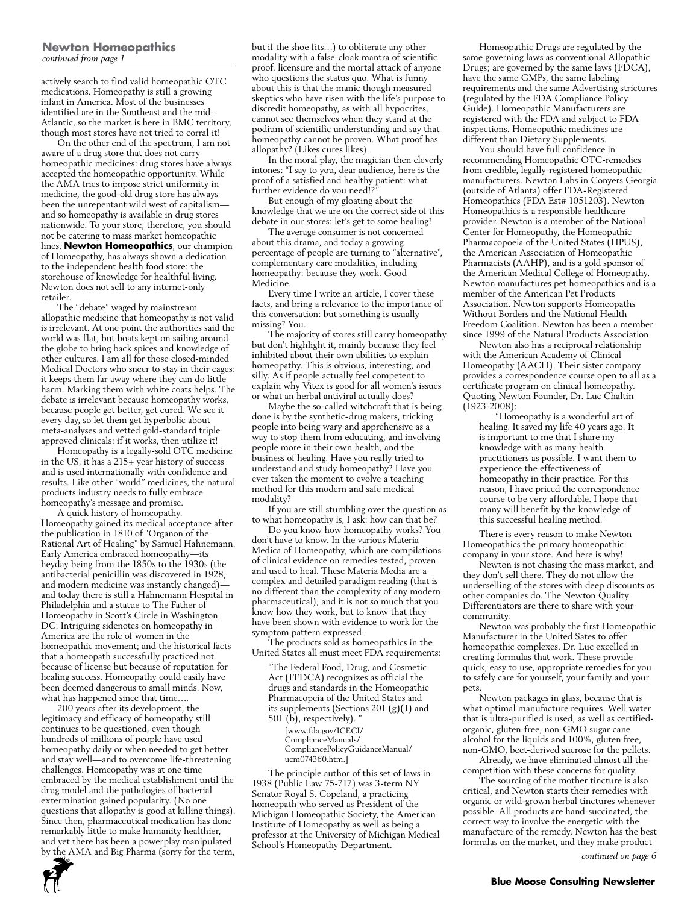#### **Newton Homeopathics** *continued from page 1*

actively search to find valid homeopathic OTC medications. Homeopathy is still a growing infant in America. Most of the businesses identified are in the Southeast and the mid-Atlantic, so the market is here in BMC territory, though most stores have not tried to corral it!

On the other end of the spectrum, I am not aware of a drug store that does not carry homeopathic medicines: drug stores have always accepted the homeopathic opportunity. While the AMA tries to impose strict uniformity in medicine, the good-old drug store has always been the unrepentant wild west of capitalism and so homeopathy is available in drug stores nationwide. To your store, therefore, you should not be catering to mass market homeopathic lines. **Newton Homeopathics**, our champion of Homeopathy, has always shown a dedication to the independent health food store: the storehouse of knowledge for healthful living. Newton does not sell to any internet-only retailer.

The "debate" waged by mainstream allopathic medicine that homeopathy is not valid is irrelevant. At one point the authorities said the world was flat, but boats kept on sailing around the globe to bring back spices and knowledge of other cultures. I am all for those closed-minded Medical Doctors who sneer to stay in their cages: it keeps them far away where they can do little harm. Marking them with white coats helps. The debate is irrelevant because homeopathy works, because people get better, get cured. We see it every day, so let them get hyperbolic about meta-analyses and vetted gold-standard triple approved clinicals: if it works, then utilize it!

Homeopathy is a legally-sold OTC medicine in the US, it has a 215+ year history of success and is used internationally with confidence and results. Like other "world" medicines, the natural products industry needs to fully embrace homeopathy's message and promise.

A quick history of homeopathy. Homeopathy gained its medical acceptance after the publication in 1810 of "Organon of the Rational Art of Healing" by Samuel Hahnemann. Early America embraced homeopathy—its heyday being from the 1850s to the 1930s (the antibacterial penicillin was discovered in 1928, and modern medicine was instantly changed) and today there is still a Hahnemann Hospital in Philadelphia and a statue to The Father of Homeopathy in Scott's Circle in Washington DC. Intriguing sidenotes on homeopathy in America are the role of women in the homeopathic movement; and the historical facts that a homeopath successfully practiced not because of license but because of reputation for healing success. Homeopathy could easily have been deemed dangerous to small minds. Now, what has happened since that time….

200 years after its development, the legitimacy and efficacy of homeopathy still continues to be questioned, even though hundreds of millions of people have used homeopathy daily or when needed to get better and stay well—and to overcome life-threatening challenges. Homeopathy was at one time embraced by the medical establishment until the drug model and the pathologies of bacterial extermination gained popularity. (No one questions that allopathy is good at killing things). Since then, pharmaceutical medication has done remarkably little to make humanity healthier, and yet there has been a powerplay manipulated by the AMA and Big Pharma (sorry for the term, but if the shoe fits…) to obliterate any other modality with a false-cloak mantra of scientific proof, licensure and the mortal attack of anyone who questions the status quo. What is funny about this is that the manic though measured skeptics who have risen with the life's purpose to discredit homeopathy, as with all hypocrites, cannot see themselves when they stand at the podium of scientific understanding and say that homeopathy cannot be proven. What proof has allopathy? (Likes cures likes).

In the moral play, the magician then cleverly intones: "I say to you, dear audience, here is the proof of a satisfied and healthy patient: what further evidence do you need!?

But enough of my gloating about the knowledge that we are on the correct side of this debate in our stores: let's get to some healing!

The average consumer is not concerned about this drama, and today a growing percentage of people are turning to "alternative", complementary care modalities, including homeopathy: because they work. Good Medicine.

Every time I write an article, I cover these facts, and bring a relevance to the importance of this conversation: but something is usually missing? You.

The majority of stores still carry homeopathy but don't highlight it, mainly because they feel inhibited about their own abilities to explain homeopathy. This is obvious, interesting, and silly. As if people actually feel competent to explain why Vitex is good for all women's issues or what an herbal antiviral actually does?

Maybe the so-called witchcraft that is being done is by the synthetic-drug makers, tricking people into being wary and apprehensive as a way to stop them from educating, and involving people more in their own health, and the business of healing. Have you really tried to understand and study homeopathy? Have you ever taken the moment to evolve a teaching method for this modern and safe medical modality?

If you are still stumbling over the question as to what homeopathy is, I ask: how can that be?

Do you know how homeopathy works? You don't have to know. In the various Materia Medica of Homeopathy, which are compilations of clinical evidence on remedies tested, proven and used to heal. These Materia Media are a complex and detailed paradigm reading (that is no different than the complexity of any modern pharmaceutical), and it is not so much that you know how they work, but to know that they have been shown with evidence to work for the symptom pattern expressed.

The products sold as homeopathics in the United States all must meet FDA requirements:

"The Federal Food, Drug, and Cosmetic Act (FFDCA) recognizes as official the drugs and standards in the Homeopathic Pharmacopeia of the United States and its supplements (Sections 201 (g)(1) and 501 (b), respectively).

[www.fda.gov/ICECI/ ComplianceManuals/ CompliancePolicyGuidanceManual/ ucm074360.htm.]

The principle author of this set of laws in 1938 (Public Law 75-717) was 3-term NY Senator Royal S. Copeland, a practicing homeopath who served as President of the Michigan Homeopathic Society, the American Institute of Homeopathy as well as being a professor at the University of Michigan Medical School's Homeopathy Department.

Homeopathic Drugs are regulated by the same governing laws as conventional Allopathic Drugs; are governed by the same laws (FDCA), have the same GMPs, the same labeling requirements and the same Advertising strictures (regulated by the FDA Compliance Policy Guide). Homeopathic Manufacturers are registered with the FDA and subject to FDA inspections. Homeopathic medicines are different than Dietary Supplements.

You should have full confidence in recommending Homeopathic OTC-remedies from credible, legally-registered homeopathic manufacturers. Newton Labs in Conyers Georgia (outside of Atlanta) offer FDA-Registered Homeopathics (FDA Est# 1051203). Newton Homeopathics is a responsible healthcare provider. Newton is a member of the National Center for Homeopathy, the Homeopathic Pharmacopoeia of the United States (HPUS), the American Association of Homeopathic Pharmacists (AAHP), and is a gold sponsor of the American Medical College of Homeopathy. Newton manufactures pet homeopathics and is a member of the American Pet Products Association. Newton supports Homeopaths Without Borders and the National Health Freedom Coalition. Newton has been a member since 1999 of the Natural Products Association.

Newton also has a reciprocal relationship with the American Academy of Clinical Homeopathy (AACH). Their sister company provides a correspondence course open to all as a certificate program on clinical homeopathy. Quoting Newton Founder, Dr. Luc Chaltin  $(1923 - 2008)$ :

"Homeopathy is a wonderful art of healing. It saved my life 40 years ago. It is important to me that I share my knowledge with as many health practitioners as possible. I want them to experience the effectiveness of homeopathy in their practice. For this reason, I have priced the correspondence course to be very affordable. I hope that many will benefit by the knowledge of this successful healing method."

There is every reason to make Newton Homeopathics the primary homeopathic company in your store. And here is why!

Newton is not chasing the mass market, and they don't sell there. They do not allow the underselling of the stores with deep discounts as other companies do. The Newton Quality Differentiators are there to share with your community:

Newton was probably the first Homeopathic Manufacturer in the United Sates to offer homeopathic complexes. Dr. Luc excelled in creating formulas that work. These provide quick, easy to use, appropriate remedies for you to safely care for yourself, your family and your pets.

Newton packages in glass, because that is what optimal manufacture requires. Well water that is ultra-purified is used, as well as certifiedorganic, gluten-free, non-GMO sugar cane alcohol for the liquids and 100%, gluten free, non-GMO, beet-derived sucrose for the pellets.

Already, we have eliminated almost all the competition with these concerns for quality.

The sourcing of the mother tincture is also critical, and Newton starts their remedies with organic or wild-grown herbal tinctures whenever possible. All products are hand-succinated, the correct way to involve the energetic with the manufacture of the remedy. Newton has the best formulas on the market, and they make product



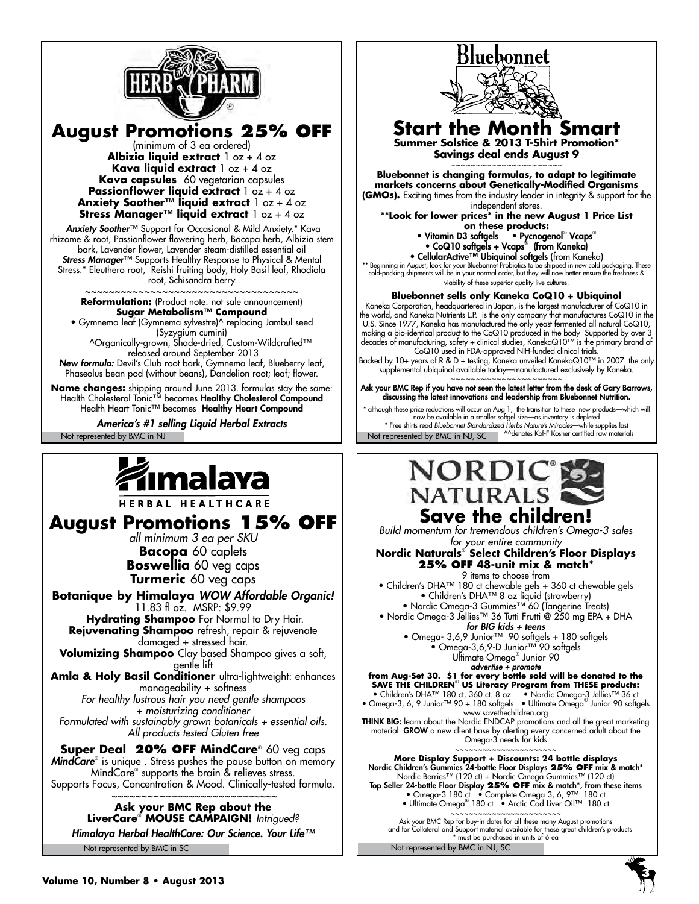

**August Promotions 25% OFF** 

(minimum of 3 ea ordered) **Albizia liquid extract** 1 oz + 4 oz **Kava liquid extract** 1 oz + 4 oz **Kava capsules** 60 vegetarian capsules **Passionflower liquid extract**  $\frac{1}{2}$  oz + 4 oz **Anxiety Soother™ liquid extract** 1 oz + 4 oz **Stress Manager™ liquid extract** 1 oz + 4 oz

 *Anxiety Soother*™ Support for Occasional & Mild Anxiety.\* Kava rhizome & root, Passionflower flowering herb, Bacopa herb, Albizia stem bark, Lavender flower, Lavender steam-distilled essential oil *Stress Manager*™ Supports Healthy Response to Physical & Mental Stress.\* Eleuthero root, Reishi fruiting body, Holy Basil leaf, Rhodiola root, Schisandra berry

~~~~~~~~~~~~~~~~~~~~~~~~~~~~~~~~~~~ **Reformulation:** (Product note: not sale announcement) **Sugar Metabolism™ Compound** • Gymnema leaf (Gymnema sylvestre)^ replacing Jambul seed

(Syzygium cumini) ^Organically-grown, Shade-dried, Custom-Wildcrafted™ released around September 2013

*New formula:* Devil's Club root bark, Gymnema leaf, Blueberry leaf, Phaseolus bean pod (without beans), Dandelion root; leaf; flower.

**Name changes:** shipping around June 2013. formulas stay the same: Health Cholesterol Tonic™ becomes **Healthy Cholesterol Compound** Health Heart Tonic™ becomes Healthy Heart Compound

*America's #1 selling Liquid Herbal Extracts*

# ımalaya

HERBAL HEALTHCARE

**August Promotions 15% OFF**

*all minimum 3 ea per SKU* **Bacopa** 60 caplets **Boswellia** 60 veg caps **Turmeric** 60 veg caps

**Botanique by Himalaya** *WOW Affordable Organic!*  11.83 fl oz. MSRP: \$9.99  **Hydrating Shampoo** For Normal to Dry Hair.

**Rejuvenating Shampoo** refresh, repair & rejuvenate damaged + stressed hair. **Volumizing Shampoo** Clay based Shampoo gives a soft,

gentle lift **Amla & Holy Basil Conditioner** ultra-lightweight: enhances

manageability + softness *For healthy lustrous hair you need gentle shampoos + moisturizing conditioner Formulated with sustainably grown botanicals + essential oils. All products tested Gluten free*

**Super Deal 20% OFF MindCare**® 60 veg caps *MindCare*® is unique . Stress pushes the pause button on memory MindCare® supports the brain & relieves stress. Supports Focus, Concentration & Mood. Clinically-tested formula.

 $\sim$ ~~~~~~~~~~~~~~~~~~~~~~~~~~~~ **Ask your BMC Rep about the LiverCare**® **mouse campaign!** *Intrigued?*

Not represented by BMC in SC *Himalaya Herbal HealthCare: Our Science. Your Life™*



**Bluebonnet sells only Kaneka CoQ10 + Ubiquinol** Kaneka Corporation, headquartered in Japan, is the largest manufacturer of CoQ10 in the world, and Kaneka Nutrients L.P. is the only company that manufactures CoQ10 in the U.S. Since 1977, Kaneka has manufactured the only yeast fermented all natural CoQ10, making a bio-identical product to the CoQ10 produced in the body Supported by over 3 decades of manufacturing, safety + clinical studies, KanekaQ10™ is the primary brand of CoQ10 used in FDA-approved NIH-funded clinical trials.

Backed by 10+ years of R & D + testing, Kaneka unveiled KanekaQ10™ in 2007: the only supplemental ubiquinol available today—manufactured exclusively by Kaneka.

~~~~~~~~~~~~~~~~~~~~~~ Ask your BMC Rep if you have not seen the latest letter from the desk of Gary Barrows, discussing the latest innovations and leadership from Bluebonnet Nutrition.

Not represented by BMC in NJ Not represented by BMC in NJ, SC and the Moster Kosher certified raw materials although these price reductions will occur on Aug 1, the transition to these new products—which will now be available in a smaller softgel size—as inventory is depleted \* Free shirts read *Bluebonnet Standardized Herbs Nature's Miracles*—while supplies last



Not represented by BMC in NJ, SC

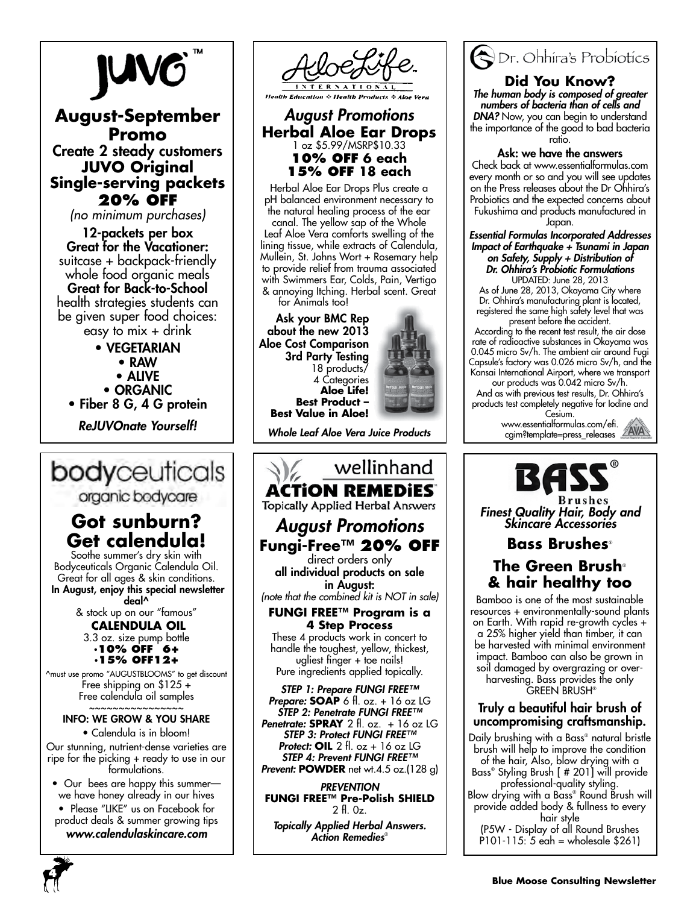# **JUVG**

## **August-September Promo** Create 2 steady customers **JUVO Original Single-serving packets**

**20% OFF**

*(no minimum purchases)*

12-packets per box Great for the Vacationer: suitcase + backpack-friendly whole food organic meals Great for Back-to-School health strategies students can be given super food choices: easy to  $mix + drink$ 

- VEGETARIAN
	- RAW
	- ALIVE
	- ORGANIC
- Fiber 8 G, 4 G protein

*ReJUVOnate Yourself!*

# bodyceuticals

organic bodycare

# **Got sunburn? Get calendula!**

Soothe summer's dry skin with Bodyceuticals Organic Calendula Oil. Great for all ages & skin conditions. In August, enjoy this special newsletter deal^

> & stock up on our "famous"  **CALENDULA OIL** 3.3 oz. size pump bottle **·10% OFF 6+ ·15% OFF12+**

^must use promo "AUGUSTBLOOMS" to get discount Free shipping on \$125 + Free calendula oil samples ~~~~~~~~~~~~~~~~

## INFO: WE GROW & YOU SHARE

• Calendula is in bloom! Our stunning, nutrient-dense varieties are ripe for the picking + ready to use in our formulations.

• Our bees are happy this summer we have honey already in our hives

• Please "LIKE" us on Facebook for product deals & summer growing tips *www.calendulaskincare.com*



## *August Promotions* **Herbal Aloe Ear Drops** 1 oz \$5.99/MSRP\$10.33 **10% OFF 6 each 15% OFF 18 each**

Herbal Aloe Ear Drops Plus create a pH balanced environment necessary to the natural healing process of the ear canal. The yellow sap of the Whole Leaf Aloe Vera comforts swelling of the lining tissue, while extracts of Calendula, Mullein, St. Johns Wort + Rosemary help to provide relief from trauma associated with Swimmers Ear, Colds, Pain, Vertigo & annoying Itching. Herbal scent. Great for Animals too!

Ask your BMC Rep about the new 2013 Aloe Cost Comparison 3rd Party Testing 18 products/ 4 Categories **Aloe Life! Best Product – Best Value in Aloe!**



*Whole Leaf Aloe Vera Juice Products*

## wellinhand **ACTION REMEDIES Topically Applied Herbal Answers** *August Promotions* **Fungi-Free™ 20% off** direct orders only all individual products on sale in August: *(note that the combined kit is NOT in sale)* **FUNGI FREE™ Program is a 4 Step Process**

These 4 products work in concert to handle the toughest, yellow, thickest, ugliest finger + toe nails! Pure ingredients applied topically.

*STEP 1: Prepare FUNGI FREE™ Prepare:* **Soap** 6 fl. oz. + 16 oz LG *STEP 2: Penetrate FUNGI FREE™ Penetrate:* **Spray** 2 fl. oz. + 16 oz LG *STEP 3: Protect FUNGI FREE™ Protect:* **Oil** 2 fl. oz + 16 oz LG *STEP 4: Prevent FUNGI FREE™*  **Prevent: POWDER** net wt.4.5 oz.(128 g)

*Prevention* **FUNGI FREE™ Pre-Polish SHIELD**  2 fl. 0z.

*Topically Applied Herbal Answers. Action Remedies*®



#### **Did You Know?** *The human body is composed of greater numbers of bacteria than of cells and DNA?* Now, you can begin to understand the importance of the good to bad bacteria ratio.

### Ask: we have the answers

Check back at www.essentialformulas.com every month or so and you will see updates on the Press releases about the Dr Ohhira's Probiotics and the expected concerns about Fukushima and products manufactured in Japan.

*Essential Formulas Incorporated Addresses Impact of Earthquake + Tsunami in Japan on Safety, Supply + Distribution of Dr. Ohhira's Probiotic Formulations* UPDATED: June 28, 2013

As of June 28, 2013, Okayama City where Dr. Ohhira's manufacturing plant is located, registered the same high safety level that was present before the accident.

According to the recent test result, the air dose rate of radioactive substances in Okayama was 0.045 micro Sv/h. The ambient air around Fugi Capsule's factory was 0.026 micro Sv/h, and the Kansai International Airport, where we transport

our products was 0.042 micro Sv/h. And as with previous test results, Dr. Ohhira's products test completely negative for Iodine and

Cesium. www.essentialformulas.com/efi. cgim?template=press\_releases



*Finest Quality Hair, Body and Skincare Accessories*

# **Bass Brushes**®

# **The Green Brush**® **& hair healthy too**

Bamboo is one of the most sustainable resources + environmentally-sound plants on Earth. With rapid re-growth cycles + a 25% higher yield than timber, it can be harvested with minimal environment impact. Bamboo can also be grown in soil damaged by overgrazing or overharvesting. Bass provides the only **GREEN BRUSH®** 

## Truly a beautiful hair brush of uncompromising craftsmanship.

Daily brushing with a Bass® natural bristle brush will help to improve the condition of the hair, Also, blow drying with a Bass® Styling Brush [ # 201] will provide professional-quality styling.

Blow drying with a Bass® Round Brush will provide added body & fullness to every hair style

(P5W - Display of all Round Brushes P101-115: 5 eah = wholesale \$261)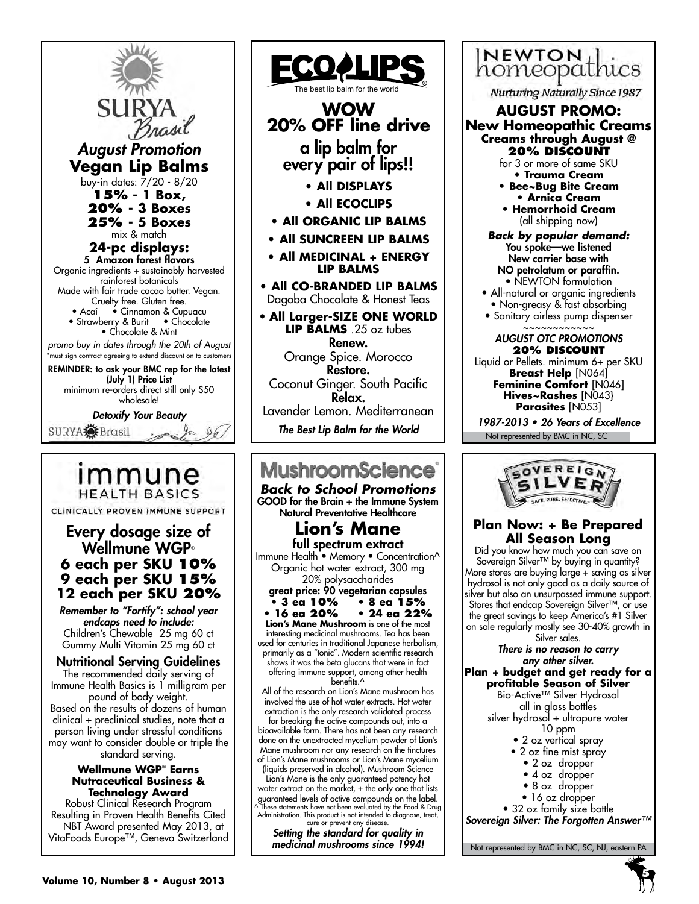SUI *August Promotion* **Vegan Lip Balms** buy-in dates: 7/20 - 8/20 **15% - 1 Box, 20% - 3 Boxes 25% - 5 Boxes** mix & match **24-pc displays:** 5 Amazon forest flavors Organic ingredients + sustainably harvested rainforest botanicals Made with fair trade cacao butter. Vegan. Cruelty free. Gluten free.<br>• Acaí • Cinnamon & Cup • Cinnamon & Cupuacu • Strawberry & Burit • Chocolate • Chocolate & Mint *promo buy in dates through the 20th of August* \*must sign contract agreeing to extend discount on to customers

REMINDER: to ask your BMC rep for the latest (July 1) Price List minimum re-orders direct still only \$50 wholesale!

*Detoxify Your Beauty*

SURYA<sup>S</sup>EBrasil

# immune **HEALTH BASICS**

CLINICALLY PROVEN IMMUNE SUPPORT

## Every dosage size of Wellmune WGP® **6 each per SKU 10% 9 each per SKU 15% 12 each per SKU 20%**

*Remember to "Fortify": school year endcaps need to include:*  Children's Chewable 25 mg 60 ct Gummy Multi Vitamin 25 mg 60 ct

Nutritional Serving Guidelines The recommended daily serving of Immune Health Basics is 1 milligram per pound of body weight. Based on the results of dozens of human clinical + preclinical studies, note that a person living under stressful conditions may want to consider double or triple the standard serving.

#### **Wellmune WGP**®  **Earns Nutraceutical Business & Technology Award**

Robust Clinical Research Program Resulting in Proven Health Benefits Cited NBT Award presented May 2013, at VitaFoods Europe™, Geneva Switzerland



GOOD for the Brain + the Immune System Natural Preventative Healthcare

# **Lion's Mane**

full spectrum extract Immune Health • Memory • Concentration^ Organic hot water extract, 300 mg 20% polysaccharides

great price: 90 vegetarian capsules

**• 3 ea 10% • 8 ea 15% • 16 ea 20% • 24 ea 22% Lion's Mane Mushroom** is one of the most interesting medicinal mushrooms. Tea has been used for centuries in traditional Japanese herbalism, primarily as a "tonic". Modern scientific research

shows it was the beta glucans that were in fact offering immune support, among other health benefits.^

All of the research on Lion's Mane mushroom has involved the use of hot water extracts. Hot water extraction is the only research validated process

for breaking the active compounds out, into a bioavailable form. There has not been any research done on the unextracted mycelium powder of Lion's Mane mushroom nor any research on the tinctures of Lion's Mane mushrooms or Lion's Mane mycelium (liquids preserved in alcohol). Mushroom Science

Lion's Mane is the only guaranteed potency hot water extract on the market, + the only one that lists guaranteed levels of active compounds on the label. ^ These statements have not been evaluated by the Food & Drug Administration. This product is not intended to diagnose, treat, cure or prevent any disease.

*Setting the standard for quality in medicinal mushrooms since 1994!*



Nurturing Naturally Since 1987

## **AUGUST PROMO:**

**New Homeopathic Creams Creams through August @ 20% discount**

for 3 or more of same SKU **• Trauma Cream**

- **Bee~Bug Bite Cream • Arnica Cream • Hemorrhoid Cream**
- (all shipping now)
- *Back by popular demand:* You spoke—we listened New carrier base with NO petrolatum or paraffin. • NEWTON formulation
- All-natural or organic ingredients • Non-greasy & fast absorbing
- Sanitary airless pump dispenser ~~~~~~~~~~~~

#### *AUGUST OTC PROMOTIONS* **20% Discount**

Liquid or Pellets. minimum 6+ per SKU **Breast Help** [N064] **Feminine Comfort** [N046] **Hives~Rashes** [N043} Parasites [N053]

Not represented by BMC in NC, SC 1987-2013 • 26 Years of Excellence



### **Plan Now: + Be Prepared All Season Long**

Did you know how much you can save on Sovereign Silver™ by buying in quantity? More stores are buying large + saving as silver hydrosol is not only good as a daily source of silver but also an unsurpassed immune support. Stores that endcap Sovereign Silver™, or use the great savings to keep America's #1 Silver on sale regularly mostly see 30-40% growth in Silver sales.

*There is no reason to carry any other silver.*

**Plan + budget and get ready for a profitable Season of Silver**

Bio-Active™ Silver Hydrosol all in glass bottles

silver hydrosol + ultrapure water

- 10 ppm
- 2 oz vertical spray
- 2 oz fine mist spray
	- 2 oz dropper
	- 4 oz dropper
	- 8 oz dropper
	- 16 oz dropper
- 32 oz family size bottle

*Sovereign Silver: The Forgotten Answer™*

Not represented by BMC in NC, SC, NJ, eastern PA

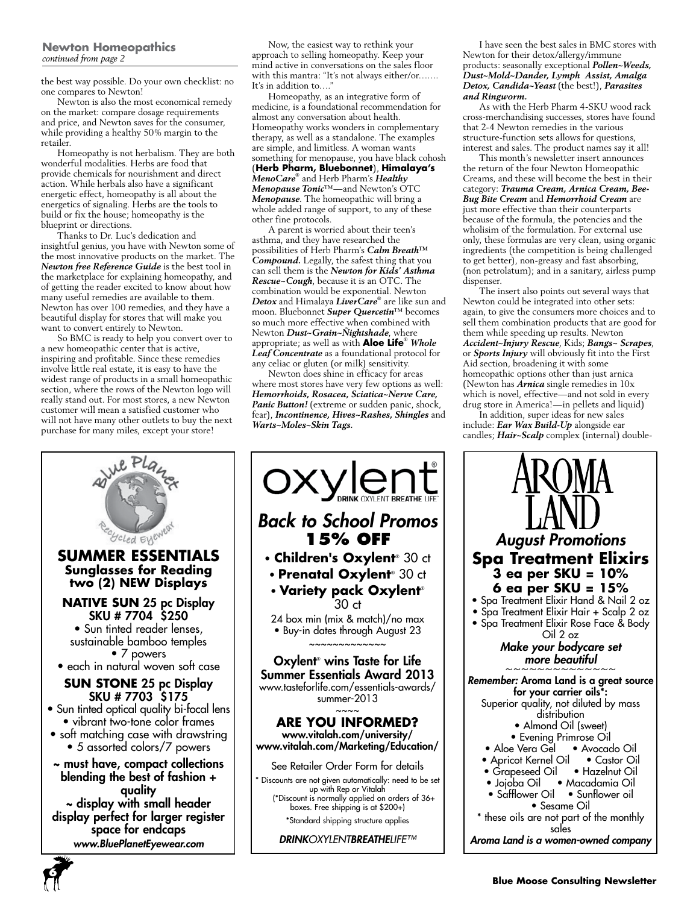#### **Newton Homeopathics** *continued from page 2*

the best way possible. Do your own checklist: no one compares to Newton!

Newton is also the most economical remedy on the market: compare dosage requirements and price, and Newton saves for the consumer, while providing a healthy 50% margin to the retailer.

Homeopathy is not herbalism. They are both wonderful modalities. Herbs are food that provide chemicals for nourishment and direct action. While herbals also have a significant energetic effect, homeopathy is all about the energetics of signaling. Herbs are the tools to build or fix the house; homeopathy is the blueprint or directions.

Thanks to Dr. Luc's dedication and insightful genius, you have with Newton some of the most innovative products on the market. The *Newton free Reference Guide* is the best tool in the marketplace for explaining homeopathy, and of getting the reader excited to know about how many useful remedies are available to them. Newton has over 100 remedies, and they have a beautiful display for stores that will make you want to convert entirely to Newton.

So BMC is ready to help you convert over to a new homeopathic center that is active, inspiring and profitable. Since these remedies involve little real estate, it is easy to have the widest range of products in a small homeopathic section, where the rows of the Newton logo will really stand out. For most stores, a new Newton customer will mean a satisfied customer who will not have many other outlets to buy the next purchase for many miles, except your store!

Now, the easiest way to rethink your approach to selling homeopathy. Keep your mind active in conversations on the sales floor with this mantra: "It's not always either/or……. It's in addition to...."

Homeopathy, as an integrative form of medicine, is a foundational recommendation for almost any conversation about health. Homeopathy works wonders in complementary therapy, as well as a standalone. The examples are simple, and limitless. A woman wants something for menopause, you have black cohosh (**Herb Pharm, Bluebonnet**), **Himalaya's** *MenoCare*® and Herb Pharm's *Healthy Menopause Tonic*™—and Newton's OTC *Menopause*. The homeopathic will bring a whole added range of support, to any of these other fine protocols.

A parent is worried about their teen's asthma, and they have researched the possibilities of Herb Pharm's *Calm Breath™ Compound.* Legally, the safest thing that you can sell them is the *Newton for Kids' Asthma Rescue~Cough*, because it is an OTC. The combination would be exponential. Newton *Detox* and Himalaya *LiverCare*® are like sun and moon. Bluebonnet *Super Quercetin*™ becomes so much more effective when combined with Newton *Dust~Grain~Ñightshade*, where appropriate; as well as with **Aloe Life**® *Whole Leaf Concentrate* as a foundational protocol for any celiac or gluten (or milk) sensitivity.

Newton does shine in efficacy for areas where most stores have very few options as well: *Hemorrhoids, Rosacea, Sciatica~Nerve Care, Panic Button!* (extreme or sudden panic, shock, fear), *Incontinence, Hives~Rashes, Shingles* and *Warts~Moles~Skin Tags.*

OXYLON BREATHE LIFE *Back to School Promos* ECHOLED EYENED **15% OFF SUMMER ESSENTIALS** • **Children's Oxylent**® 30 ct **Sunglasses for Reading** • **Prenatal Oxylent**® 30 ct **two (2) NEW Displays** • **Variety pack Oxylent**® **NATIVE SUN** 25 pc Display 30 ct SKU # 7704 \$250 24 box min (mix & match)/no max • Sun tinted reader lenses, • Buy-in dates through August 23 sustainable bamboo temples  $~\cdots$  $~\cdots$  $~\cdots$ • 7 powers • each in natural woven soft case **SUN STONE** 25 pc Display SKU # 7703 \$175 summer-2013 • Sun tinted optical quality bi-focal lens  $\sim$ ~~ • vibrant two-tone color frames • soft matching case with drawstring • 5 assorted colors/7 powers ~ must have, compact collections blending the best of fashion + up with Rep or Vitalah quality ~ display with small header display perfect for larger register space for endcaps *www.BluePlanetEyewear.com*

Oxylent® wins Taste for Life Summer Essentials Award 2013 www.tasteforlife.com/essentials-awards/ **ARE YOU INFORMED?** www.vitalah.com/university/ www.vitalah.com/Marketing/Education/ See Retailer Order Form for details \* Discounts are not given automatically: need to be set (\*Discount is normally applied on orders of 36+ boxes. Free shipping is at \$200+) \*Standard shipping structure applies *DRINKOXYLENTBREATHELIFE™*

I have seen the best sales in BMC stores with Newton for their detox/allergy/immune products: seasonally exceptional *Pollen~Weeds, Dust~Mold~Dander, Lymph Assist, Amalga Detox, Candida~Yeast* (the best!), *Parasites and Ringworm.*

As with the Herb Pharm 4-SKU wood rack cross-merchandising successes, stores have found that 2-4 Newton remedies in the various structure-function sets allows for questions, interest and sales. The product names say it all!

This month's newsletter insert announces the return of the four Newton Homeopathic Creams, and these will become the best in their category: *Trauma Cream, Arnica Cream, Bee-Bug Bite Cream* and *Hemorrhoid Cream* are just more effective than their counterparts because of the formula, the potencies and the wholisim of the formulation. For external use only, these formulas are very clean, using organic ingredients (the competition is being challenged to get better), non-greasy and fast absorbing, (non petrolatum); and in a sanitary, airless pump dispenser.

The insert also points out several ways that Newton could be integrated into other sets: again, to give the consumers more choices and to sell them combination products that are good for them while speeding up results. Newton *Accident~Injury Rescue*, Kids; *Bangs~ Scrapes*, or *Sports Injury* will obviously fit into the First Aid section, broadening it with some homeopathic options other than just arnica (Newton has *Arnica* single remedies in 10x which is novel, effective—and not sold in every drug store in America!—in pellets and liquid)

In addition, super ideas for new sales include: *Ear Wax Build-Up* alongside ear candles; *Hair~Scalp* complex (internal) double-



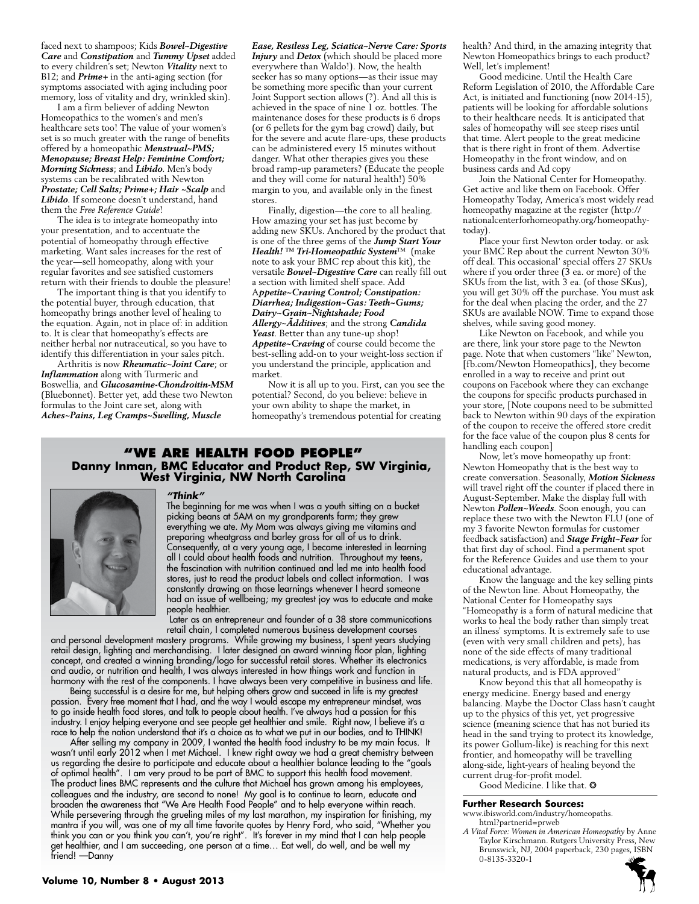faced next to shampoos; Kids *Bowel~Digestive Care* and *Constipation* and *Tummy Upset* added to every children's set; Newton *Vitality* next to B12; and *Prime+* in the anti-aging section (for symptoms associated with aging including poor memory, loss of vitality and dry, wrinkled skin).

I am a firm believer of adding Newton Homeopathics to the women's and men's healthcare sets too! The value of your women's set is so much greater with the range of benefits offered by a homeopathic *Menstrual~PMS; Menopause; Breast Help: Feminine Comfort; Morning Sickness*; and *Libido*. Men's body systems can be recalibrated with Newton *Prostate; Cell Salts; Prime+; Hair ~Scalp* and *Libido*. If someone doesn't understand, hand them the *Free Reference Guide*!

The idea is to integrate homeopathy into your presentation, and to accentuate the potential of homeopathy through effective marketing. Want sales increases for the rest of the year—sell homeopathy, along with your regular favorites and see satisfied customers return with their friends to double the pleasure!

The important thing is that you identify to the potential buyer, through education, that homeopathy brings another level of healing to the equation. Again, not in place of: in addition to. It is clear that homeopathy's effects are neither herbal nor nutraceutical, so you have to identify this differentiation in your sales pitch.

Arthritis is now *Rheumatic~Joint Care*; or *Inflammation* along with Turmeric and Boswellia, and *Glucosamine-Chondroitin-MSM* (Bluebonnet). Better yet, add these two Newton formulas to the Joint care set, along with *Aches~Pains, Leg Cramps~Swelling, Muscle* 

*Ease, Restless Leg, Sciatica~Nerve Care: Sports Injury* and *Detox* (which should be placed more everywhere than Waldo!). Now, the health seeker has so many options—as their issue may be something more specific than your current Joint Support section allows (?). And all this is achieved in the space of nine 1 oz. bottles. The maintenance doses for these products is 6 drops (or 6 pellets for the gym bag crowd) daily, but for the severe and acute flare-ups, these products can be administered every 15 minutes without danger. What other therapies gives you these broad ramp-up parameters? (Educate the people and they will come for natural health!) 50% margin to you, and available only in the finest stores.

Finally, digestion—the core to all healing. How amazing your set has just become by adding new SKUs. Anchored by the product that is one of the three gems of the *Jump Start Your Health! ™ Tri-Homeopathic System*™ (make note to ask your BMC rep about this kit), the versatile *Bowel~Digestive Care* can really fill out a section with limited shelf space. Add A*ppetite~Craving Control; Constipation: Diarrhea; Indigestion~Gas: Teeth~Gums; Dairy~Grain~Ñightshade; Food Allergy~Ãdditives*; and the strong *Candida Yeast*. Better than any tune-up shop! *Appetite~Craving* of course could become the best-selling add-on to your weight-loss section if you understand the principle, application and market.

Now it is all up to you. First, can you see the potential? Second, do you believe: believe in your own ability to shape the market, in homeopathy's tremendous potential for creating

# **"We Are health food people" Danny Inman, BMC Educator and Product Rep, SW Virginia, West Virginia, NW North Carolina**



#### *"Think"*

The beginning for me was when I was a youth sitting on a bucket picking beans at 5AM on my grandparents farm; they grew everything we ate. My Mom was always giving me vitamins and preparing wheatgrass and barley grass for all of us to drink. Consequently, at a very young age, I became interested in learning all I could about health foods and nutrition. Throughout my teens, the fascination with nutrition continued and led me into health food stores, just to read the product labels and collect information. I was constantly drawing on those learnings whenever I heard someone had an issue of wellbeing; my greatest joy was to educate and make people healthier.

Later as an entrepreneur and founder of a 38 store communications retail chain, I completed numerous business development courses

and personal development mastery programs. While growing my business, I spent years studying retail design, lighting and merchandising. I later designed an award winning floor plan, lighting concept, and created a winning branding/logo for successful retail stores. Whether its electronics and audio, or nutrition and health, I was always interested in how things work and function in harmony with the rest of the components. I have always been very competitive in business and life.

 Being successful is a desire for me, but helping others grow and succeed in life is my greatest passion. Every free moment that I had, and the way I would escape my entrepreneur mindset, was to go inside health food stores, and talk to people about health. I've always had a passion for this industry. I enjoy helping everyone and see people get healthier and smile. Right now, I believe it's a race to help the nation understand that it's a choice as to what we put in our bodies, and to THINK!

After selling my company in 2009, I wanted the health food industry to be my main focus. It wasn't until early 2012 when I met Michael. I knew right away we had a great chemistry between us regarding the desire to participate and educate about a healthier balance leading to the "goals of optimal health". I am very proud to be part of BMC to support this health food movement. The product lines BMC represents and the culture that Michael has grown among his employees, colleagues and the industry, are second to none! My goal is to continue to learn, educate and broaden the awareness that "We Are Health Food People" and to help everyone within reach. While persevering through the grueling miles of my last marathon, my inspiration for finishing, my mantra if you will, was one of my all time favorite quotes by Henry Ford, who said, "Whether you think you can or you think you can't, you're right". It's forever in my mind that I can help people get healthier, and I am succeeding, one person at a time… Eat well, do well, and be well my friend! —Danny

health? And third, in the amazing integrity that Newton Homeopathics brings to each product? Well, let's implement!

Good medicine. Until the Health Care Reform Legislation of 2010, the Affordable Care Act, is initiated and functioning (now 2014-15), patients will be looking for affordable solutions to their healthcare needs. It is anticipated that sales of homeopathy will see steep rises until that time. Alert people to the great medicine that is there right in front of them. Advertise Homeopathy in the front window, and on business cards and Ad copy

Join the National Center for Homeopathy. Get active and like them on Facebook. Offer Homeopathy Today, America's most widely read homeopathy magazine at the register (http:// nationalcenterforhomeopathy.org/homeopathytoday).

Place your first Newton order today. or ask your BMC Rep about the current Newton 30% off deal. This occasional' special offers 27 SKUs where if you order three  $(3 \text{ ea. or more})$  of the SKUs from the list, with 3 ea. (of those SKus), you will get 30% off the purchase. You must ask for the deal when placing the order, and the 27 SKUs are available NOW. Time to expand those shelves, while saving good money.

Like Newton on Facebook, and while you are there, link your store page to the Newton page. Note that when customers "like" Newton, [fb.com/Newton Homeopathics], they become enrolled in a way to receive and print out coupons on Facebook where they can exchange the coupons for specific products purchased in your store, [Note coupons need to be submitted back to Newton within 90 days of the expiration of the coupon to receive the offered store credit for the face value of the coupon plus 8 cents for handling each coupon]

Now, let's move homeopathy up front: Newton Homeopathy that is the best way to create conversation. Seasonally, *Motion Sickness*  will travel right off the counter if placed there in August-September. Make the display full with Newton *Pollen~Weeds*. Soon enough, you can replace these two with the Newton FLU (one of my 3 favorite Newton formulas for customer feedback satisfaction) and *Stage Fright~Fear* for that first day of school. Find a permanent spot for the Reference Guides and use them to your educational advantage.

Know the language and the key selling pints of the Newton line. About Homeopathy, the National Center for Homeopathy says "Homeopathy is a form of natural medicine that works to heal the body rather than simply treat an illness' symptoms. It is extremely safe to use (even with very small children and pets), has none of the side effects of many traditional medications, is very affordable, is made from natural products, and is FDA approved"

Know beyond this that all homeopathy is energy medicine. Energy based and energy balancing. Maybe the Doctor Class hasn't caught up to the physics of this yet, yet progressive science (meaning science that has not buried its head in the sand trying to protect its knowledge, its power Gollum-like) is reaching for this next frontier, and homeopathy will be travelling along-side, light-years of healing beyond the current drug-for-profit model.

Good Medicine. I like that.  $\odot$ 

#### **Further Research Sources:**

- www.ibisworld.com/industry/homeopaths. html?partnerid=prweb
- *A Vital Force: Women in American Homeopathy* by Anne Taylor Kirschmann. Rutgers University Press, New Brunswick, NJ, 2004 paperback, 230 pages, ISBN 0-8135-3320-1